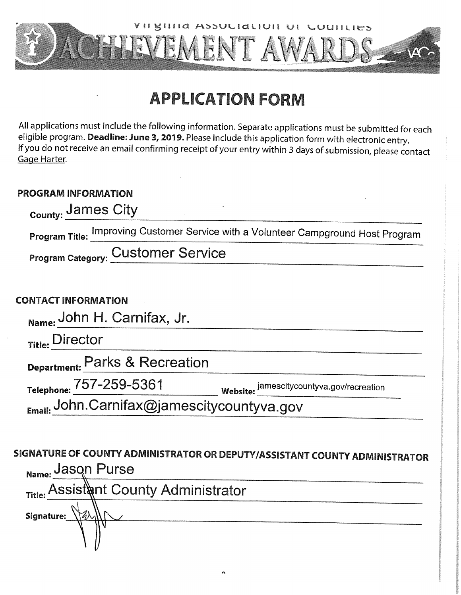

# **APPLICATION FORM**

All applications must include the following information. Separate applications must be submitted for each eligible program. Deadline: June 3, 2019. Please include this application form with electronic entry. If you do not receive an email confirming receipt of your entry within 3 days of submission, please contact Gage Harter.

# **PROGRAM INFORMATION**

| <sub>County:</sub> James City             |                                                                                    |  |  |
|-------------------------------------------|------------------------------------------------------------------------------------|--|--|
|                                           | Program Title: Improving Customer Service with a Volunteer Campground Host Program |  |  |
| <b>Program Category: Customer Service</b> |                                                                                    |  |  |
|                                           |                                                                                    |  |  |

# **CONTACT INFORMATION**

Name: John H. Carnifax, Jr.

Title: Director

Department: Parks & Recreation

Telephone: 757-259-5361<br>
Email: John.Carnifax@jamescitycountyva.gov/recreation

# SIGNATURE OF COUNTY ADMINISTRATOR OR DEPUTY/ASSISTANT COUNTY ADMINISTRATOR Name: Jasqn Purse

|            | Title: Assistant County Administrator |
|------------|---------------------------------------|
| Signature: |                                       |
|            |                                       |
|            |                                       |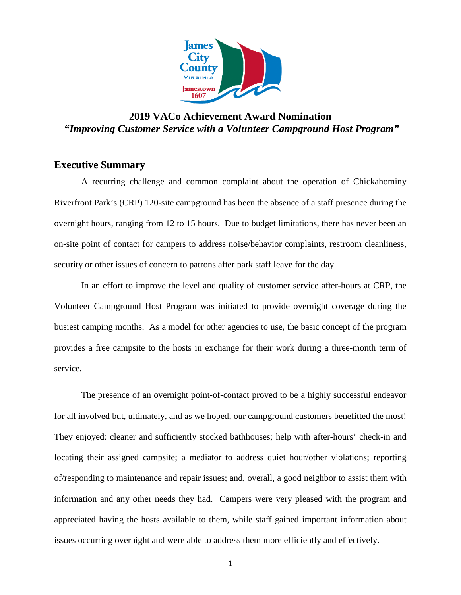

# **2019 VACo Achievement Award Nomination**  *"Improving Customer Service with a Volunteer Campground Host Program"*

#### **Executive Summary**

A recurring challenge and common complaint about the operation of Chickahominy Riverfront Park's (CRP) 120-site campground has been the absence of a staff presence during the overnight hours, ranging from 12 to 15 hours. Due to budget limitations, there has never been an on-site point of contact for campers to address noise/behavior complaints, restroom cleanliness, security or other issues of concern to patrons after park staff leave for the day.

In an effort to improve the level and quality of customer service after-hours at CRP, the Volunteer Campground Host Program was initiated to provide overnight coverage during the busiest camping months. As a model for other agencies to use, the basic concept of the program provides a free campsite to the hosts in exchange for their work during a three-month term of service.

The presence of an overnight point-of-contact proved to be a highly successful endeavor for all involved but, ultimately, and as we hoped, our campground customers benefitted the most! They enjoyed: cleaner and sufficiently stocked bathhouses; help with after-hours' check-in and locating their assigned campsite; a mediator to address quiet hour/other violations; reporting of/responding to maintenance and repair issues; and, overall, a good neighbor to assist them with information and any other needs they had. Campers were very pleased with the program and appreciated having the hosts available to them, while staff gained important information about issues occurring overnight and were able to address them more efficiently and effectively.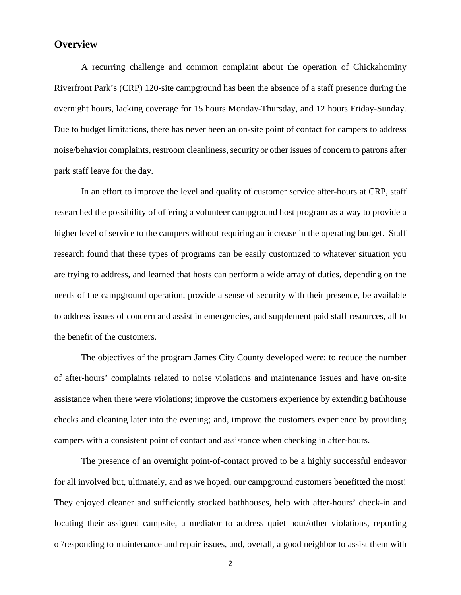### **Overview**

A recurring challenge and common complaint about the operation of Chickahominy Riverfront Park's (CRP) 120-site campground has been the absence of a staff presence during the overnight hours, lacking coverage for 15 hours Monday-Thursday, and 12 hours Friday-Sunday. Due to budget limitations, there has never been an on-site point of contact for campers to address noise/behavior complaints, restroom cleanliness, security or other issues of concern to patrons after park staff leave for the day.

In an effort to improve the level and quality of customer service after-hours at CRP, staff researched the possibility of offering a volunteer campground host program as a way to provide a higher level of service to the campers without requiring an increase in the operating budget. Staff research found that these types of programs can be easily customized to whatever situation you are trying to address, and learned that hosts can perform a wide array of duties, depending on the needs of the campground operation, provide a sense of security with their presence, be available to address issues of concern and assist in emergencies, and supplement paid staff resources, all to the benefit of the customers.

The objectives of the program James City County developed were: to reduce the number of after-hours' complaints related to noise violations and maintenance issues and have on-site assistance when there were violations; improve the customers experience by extending bathhouse checks and cleaning later into the evening; and, improve the customers experience by providing campers with a consistent point of contact and assistance when checking in after-hours.

The presence of an overnight point-of-contact proved to be a highly successful endeavor for all involved but, ultimately, and as we hoped, our campground customers benefitted the most! They enjoyed cleaner and sufficiently stocked bathhouses, help with after-hours' check-in and locating their assigned campsite, a mediator to address quiet hour/other violations, reporting of/responding to maintenance and repair issues, and, overall, a good neighbor to assist them with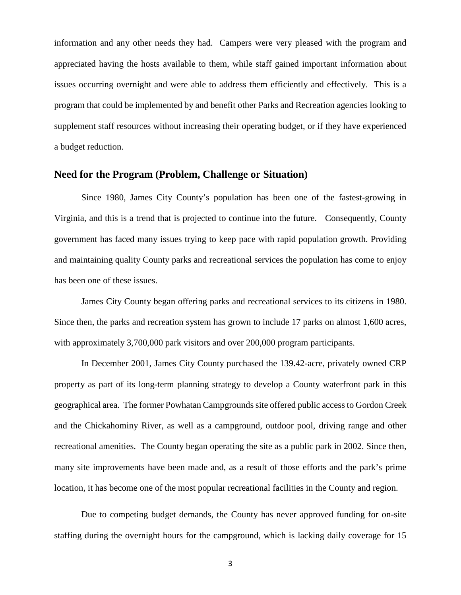information and any other needs they had. Campers were very pleased with the program and appreciated having the hosts available to them, while staff gained important information about issues occurring overnight and were able to address them efficiently and effectively. This is a program that could be implemented by and benefit other Parks and Recreation agencies looking to supplement staff resources without increasing their operating budget, or if they have experienced a budget reduction.

#### **Need for the Program (Problem, Challenge or Situation)**

Since 1980, James City County's population has been one of the fastest-growing in Virginia, and this is a trend that is projected to continue into the future. Consequently, County government has faced many issues trying to keep pace with rapid population growth. Providing and maintaining quality County parks and recreational services the population has come to enjoy has been one of these issues.

James City County began offering parks and recreational services to its citizens in 1980. Since then, the parks and recreation system has grown to include 17 parks on almost 1,600 acres, with approximately 3,700,000 park visitors and over 200,000 program participants.

In December 2001, James City County purchased the 139.42-acre, privately owned CRP property as part of its long-term planning strategy to develop a County waterfront park in this geographical area. The former Powhatan Campgrounds site offered public access to Gordon Creek and the Chickahominy River, as well as a campground, outdoor pool, driving range and other recreational amenities. The County began operating the site as a public park in 2002. Since then, many site improvements have been made and, as a result of those efforts and the park's prime location, it has become one of the most popular recreational facilities in the County and region.

Due to competing budget demands, the County has never approved funding for on-site staffing during the overnight hours for the campground, which is lacking daily coverage for 15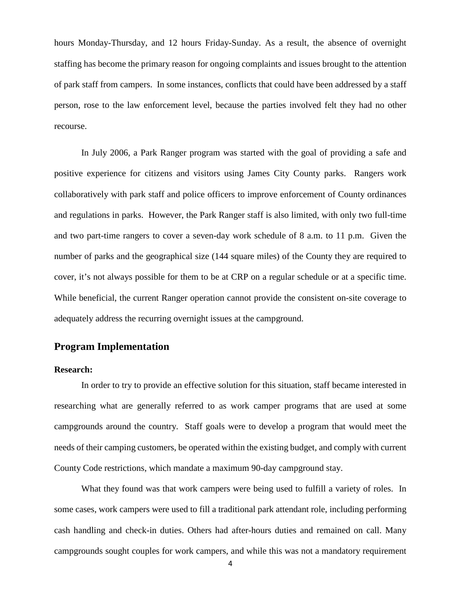hours Monday-Thursday, and 12 hours Friday-Sunday. As a result, the absence of overnight staffing has become the primary reason for ongoing complaints and issues brought to the attention of park staff from campers. In some instances, conflicts that could have been addressed by a staff person, rose to the law enforcement level, because the parties involved felt they had no other recourse.

In July 2006, a Park Ranger program was started with the goal of providing a safe and positive experience for citizens and visitors using James City County parks. Rangers work collaboratively with park staff and police officers to improve enforcement of County ordinances and regulations in parks. However, the Park Ranger staff is also limited, with only two full-time and two part-time rangers to cover a seven-day work schedule of 8 a.m. to 11 p.m. Given the number of parks and the geographical size (144 square miles) of the County they are required to cover, it's not always possible for them to be at CRP on a regular schedule or at a specific time. While beneficial, the current Ranger operation cannot provide the consistent on-site coverage to adequately address the recurring overnight issues at the campground.

## **Program Implementation**

#### **Research:**

In order to try to provide an effective solution for this situation, staff became interested in researching what are generally referred to as work camper programs that are used at some campgrounds around the country. Staff goals were to develop a program that would meet the needs of their camping customers, be operated within the existing budget, and comply with current County Code restrictions, which mandate a maximum 90-day campground stay.

What they found was that work campers were being used to fulfill a variety of roles. In some cases, work campers were used to fill a traditional park attendant role, including performing cash handling and check-in duties. Others had after-hours duties and remained on call. Many campgrounds sought couples for work campers, and while this was not a mandatory requirement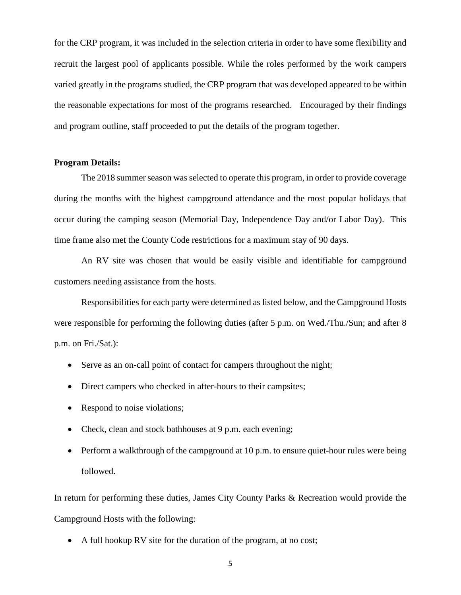for the CRP program, it was included in the selection criteria in order to have some flexibility and recruit the largest pool of applicants possible. While the roles performed by the work campers varied greatly in the programs studied, the CRP program that was developed appeared to be within the reasonable expectations for most of the programs researched. Encouraged by their findings and program outline, staff proceeded to put the details of the program together.

#### **Program Details:**

The 2018 summer season was selected to operate this program, in order to provide coverage during the months with the highest campground attendance and the most popular holidays that occur during the camping season (Memorial Day, Independence Day and/or Labor Day). This time frame also met the County Code restrictions for a maximum stay of 90 days.

An RV site was chosen that would be easily visible and identifiable for campground customers needing assistance from the hosts.

Responsibilities for each party were determined as listed below, and the Campground Hosts were responsible for performing the following duties (after 5 p.m. on Wed./Thu./Sun; and after 8 p.m. on Fri./Sat.):

- Serve as an on-call point of contact for campers throughout the night;
- Direct campers who checked in after-hours to their campsites;
- Respond to noise violations;
- Check, clean and stock bathhouses at 9 p.m. each evening;
- Perform a walkthrough of the campground at 10 p.m. to ensure quiet-hour rules were being followed.

In return for performing these duties, James City County Parks & Recreation would provide the Campground Hosts with the following:

• A full hookup RV site for the duration of the program, at no cost;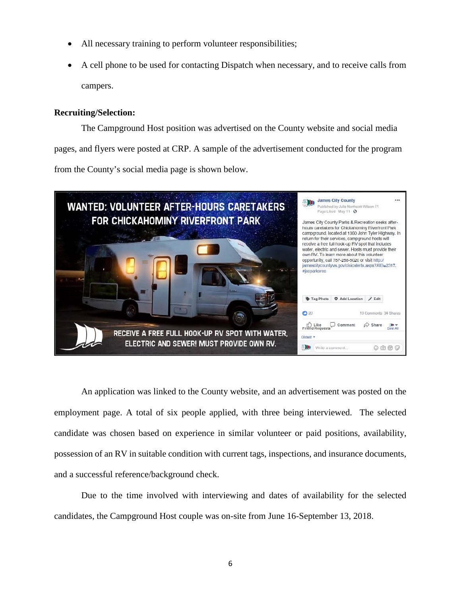- All necessary training to perform volunteer responsibilities;
- A cell phone to be used for contacting Dispatch when necessary, and to receive calls from campers.

#### **Recruiting/Selection:**

The Campground Host position was advertised on the County website and social media pages, and flyers were posted at CRP. A sample of the advertisement conducted for the program from the County's social media page is shown below.



An application was linked to the County website, and an advertisement was posted on the employment page. A total of six people applied, with three being interviewed. The selected candidate was chosen based on experience in similar volunteer or paid positions, availability, possession of an RV in suitable condition with current tags, inspections, and insurance documents, and a successful reference/background check.

Due to the time involved with interviewing and dates of availability for the selected candidates, the Campground Host couple was on-site from June 16-September 13, 2018.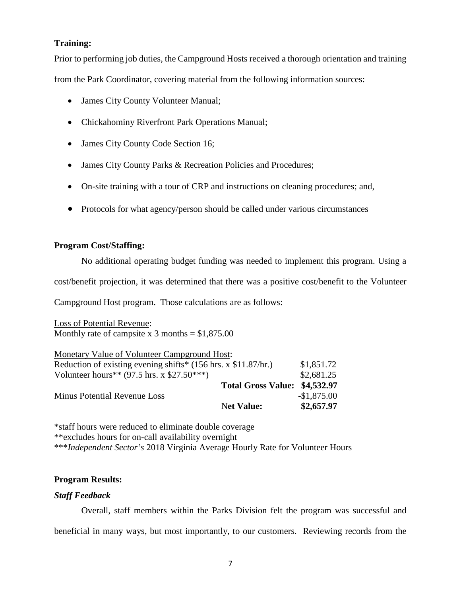#### **Training:**

Prior to performing job duties, the Campground Hosts received a thorough orientation and training

from the Park Coordinator, covering material from the following information sources:

- James City County Volunteer Manual;
- Chickahominy Riverfront Park Operations Manual;
- James City County Code Section 16;
- James City County Parks & Recreation Policies and Procedures;
- On-site training with a tour of CRP and instructions on cleaning procedures; and,
- Protocols for what agency/person should be called under various circumstances

#### **Program Cost/Staffing:**

No additional operating budget funding was needed to implement this program. Using a

cost/benefit projection, it was determined that there was a positive cost/benefit to the Volunteer

Campground Host program. Those calculations are as follows:

Loss of Potential Revenue: Monthly rate of campsite x 3 months  $=$  \$1,875.00

| Monetary Value of Volunteer Campground Host:                                    |                               |              |
|---------------------------------------------------------------------------------|-------------------------------|--------------|
| Reduction of existing evening shifts* $(156 \text{ hrs. x } $11.87/\text{hr.})$ | \$1,851.72                    |              |
| Volunteer hours** $(97.5 \text{ hrs. x } $27.50***)$                            |                               | \$2,681.25   |
|                                                                                 | Total Gross Value: \$4,532.97 |              |
| <b>Minus Potential Revenue Loss</b>                                             |                               | $-$1,875.00$ |
|                                                                                 | <b>Net Value:</b>             | \$2,657.97   |

\*staff hours were reduced to eliminate double coverage \*\*excludes hours for on-call availability overnight \*\*\**Independent Sector's* 2018 Virginia Average Hourly Rate for Volunteer Hours

#### **Program Results:**

#### *Staff Feedback*

Overall, staff members within the Parks Division felt the program was successful and beneficial in many ways, but most importantly, to our customers. Reviewing records from the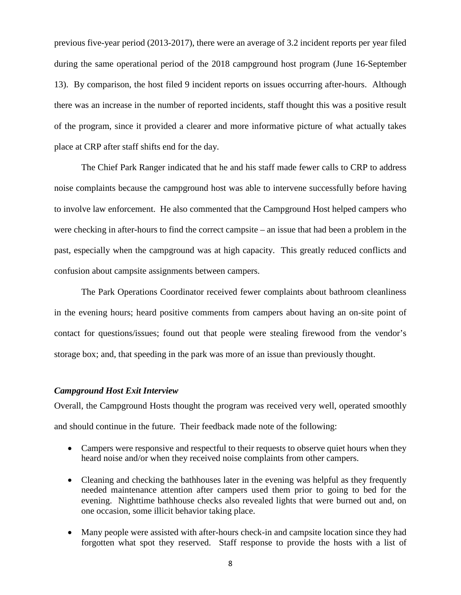previous five-year period (2013-2017), there were an average of 3.2 incident reports per year filed during the same operational period of the 2018 campground host program (June 16-September 13). By comparison, the host filed 9 incident reports on issues occurring after-hours. Although there was an increase in the number of reported incidents, staff thought this was a positive result of the program, since it provided a clearer and more informative picture of what actually takes place at CRP after staff shifts end for the day.

The Chief Park Ranger indicated that he and his staff made fewer calls to CRP to address noise complaints because the campground host was able to intervene successfully before having to involve law enforcement. He also commented that the Campground Host helped campers who were checking in after-hours to find the correct campsite – an issue that had been a problem in the past, especially when the campground was at high capacity. This greatly reduced conflicts and confusion about campsite assignments between campers.

The Park Operations Coordinator received fewer complaints about bathroom cleanliness in the evening hours; heard positive comments from campers about having an on-site point of contact for questions/issues; found out that people were stealing firewood from the vendor's storage box; and, that speeding in the park was more of an issue than previously thought.

#### *Campground Host Exit Interview*

Overall, the Campground Hosts thought the program was received very well, operated smoothly and should continue in the future. Their feedback made note of the following:

- Campers were responsive and respectful to their requests to observe quiet hours when they heard noise and/or when they received noise complaints from other campers.
- Cleaning and checking the bathhouses later in the evening was helpful as they frequently needed maintenance attention after campers used them prior to going to bed for the evening. Nighttime bathhouse checks also revealed lights that were burned out and, on one occasion, some illicit behavior taking place.
- Many people were assisted with after-hours check-in and campsite location since they had forgotten what spot they reserved. Staff response to provide the hosts with a list of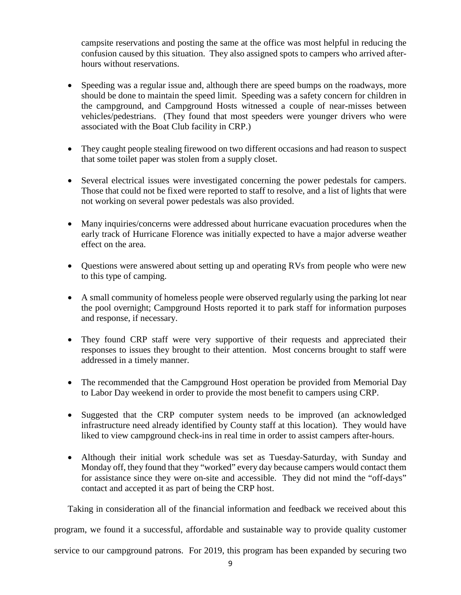campsite reservations and posting the same at the office was most helpful in reducing the confusion caused by this situation. They also assigned spots to campers who arrived afterhours without reservations.

- Speeding was a regular issue and, although there are speed bumps on the roadways, more should be done to maintain the speed limit. Speeding was a safety concern for children in the campground, and Campground Hosts witnessed a couple of near-misses between vehicles/pedestrians. (They found that most speeders were younger drivers who were associated with the Boat Club facility in CRP.)
- They caught people stealing firewood on two different occasions and had reason to suspect that some toilet paper was stolen from a supply closet.
- Several electrical issues were investigated concerning the power pedestals for campers. Those that could not be fixed were reported to staff to resolve, and a list of lights that were not working on several power pedestals was also provided.
- Many inquiries/concerns were addressed about hurricane evacuation procedures when the early track of Hurricane Florence was initially expected to have a major adverse weather effect on the area.
- Questions were answered about setting up and operating RVs from people who were new to this type of camping.
- A small community of homeless people were observed regularly using the parking lot near the pool overnight; Campground Hosts reported it to park staff for information purposes and response, if necessary.
- They found CRP staff were very supportive of their requests and appreciated their responses to issues they brought to their attention. Most concerns brought to staff were addressed in a timely manner.
- The recommended that the Campground Host operation be provided from Memorial Day to Labor Day weekend in order to provide the most benefit to campers using CRP.
- Suggested that the CRP computer system needs to be improved (an acknowledged infrastructure need already identified by County staff at this location). They would have liked to view campground check-ins in real time in order to assist campers after-hours.
- Although their initial work schedule was set as Tuesday-Saturday, with Sunday and Monday off, they found that they "worked" every day because campers would contact them for assistance since they were on-site and accessible. They did not mind the "off-days" contact and accepted it as part of being the CRP host.

Taking in consideration all of the financial information and feedback we received about this

program, we found it a successful, affordable and sustainable way to provide quality customer

service to our campground patrons. For 2019, this program has been expanded by securing two